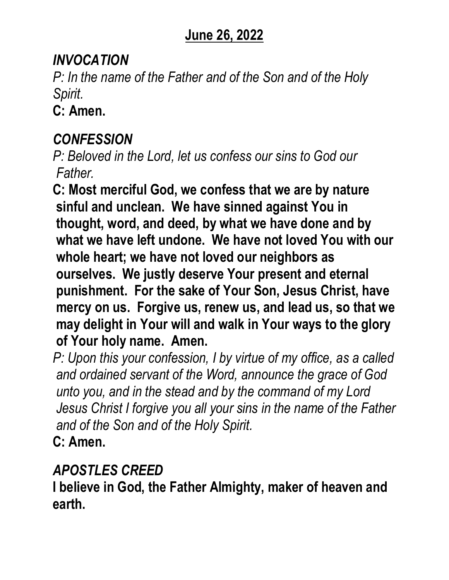## **June 26, 2022**

### *INVOCATION*

*P: In the name of the Father and of the Son and of the Holy Spirit.* 

**C: Amen.**

## *CONFESSION*

*P: Beloved in the Lord, let us confess our sins to God our Father.*

**C: Most merciful God, we confess that we are by nature sinful and unclean. We have sinned against You in thought, word, and deed, by what we have done and by what we have left undone. We have not loved You with our whole heart; we have not loved our neighbors as ourselves. We justly deserve Your present and eternal punishment. For the sake of Your Son, Jesus Christ, have mercy on us. Forgive us, renew us, and lead us, so that we may delight in Your will and walk in Your ways to the glory of Your holy name. Amen.**

*P: Upon this your confession, I by virtue of my office, as a called and ordained servant of the Word, announce the grace of God unto you, and in the stead and by the command of my Lord Jesus Christ I forgive you all your sins in the name of the Father and of the Son and of the Holy Spirit.* **C: Amen.**

## *APOSTLES CREED*

**I believe in God, the Father Almighty, maker of heaven and earth.**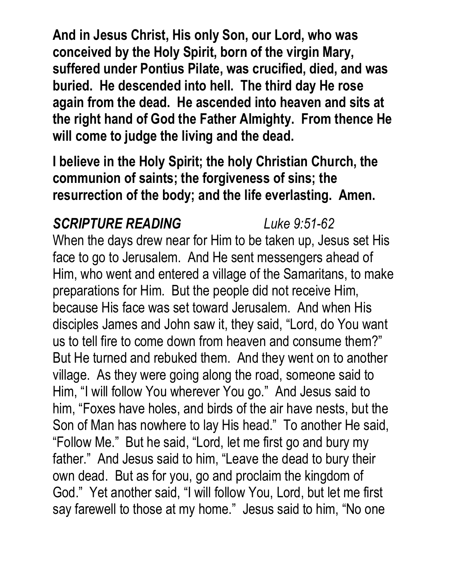**And in Jesus Christ, His only Son, our Lord, who was conceived by the Holy Spirit, born of the virgin Mary, suffered under Pontius Pilate, was crucified, died, and was buried. He descended into hell. The third day He rose again from the dead. He ascended into heaven and sits at the right hand of God the Father Almighty. From thence He will come to judge the living and the dead.**

**I believe in the Holy Spirit; the holy Christian Church, the communion of saints; the forgiveness of sins; the resurrection of the body; and the life everlasting. Amen.**

### *SCRIPTURE READING Luke 9:51-62*

When the days drew near for Him to be taken up, Jesus set His face to go to Jerusalem. And He sent messengers ahead of Him, who went and entered a village of the Samaritans, to make preparations for Him. But the people did not receive Him, because His face was set toward Jerusalem. And when His disciples James and John saw it, they said, "Lord, do You want us to tell fire to come down from heaven and consume them?" But He turned and rebuked them. And they went on to another village. As they were going along the road, someone said to Him, "I will follow You wherever You go." And Jesus said to him, "Foxes have holes, and birds of the air have nests, but the Son of Man has nowhere to lay His head." To another He said, "Follow Me." But he said, "Lord, let me first go and bury my father." And Jesus said to him, "Leave the dead to bury their own dead. But as for you, go and proclaim the kingdom of God." Yet another said, "I will follow You, Lord, but let me first say farewell to those at my home." Jesus said to him, "No one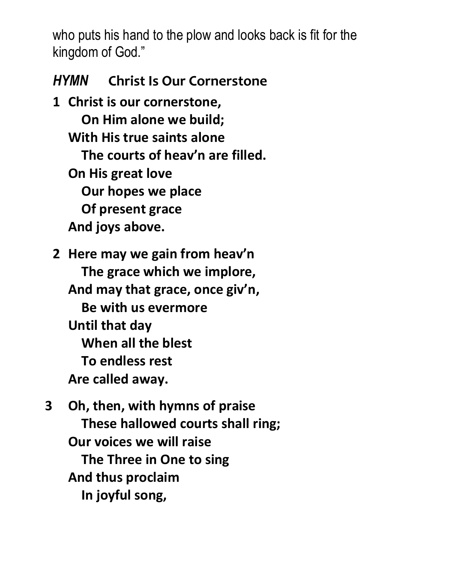who puts his hand to the plow and looks back is fit for the kingdom of God."

## *HYMN* **Christ Is Our Cornerstone**

**1 Christ is our cornerstone, On Him alone we build; With His true saints alone The courts of heav'n are filled. On His great love Our hopes we place Of present grace And joys above.**

**2 Here may we gain from heav'n The grace which we implore, And may that grace, once giv'n, Be with us evermore Until that day When all the blest To endless rest Are called away.**

**3 Oh, then, with hymns of praise These hallowed courts shall ring; Our voices we will raise The Three in One to sing And thus proclaim In joyful song,**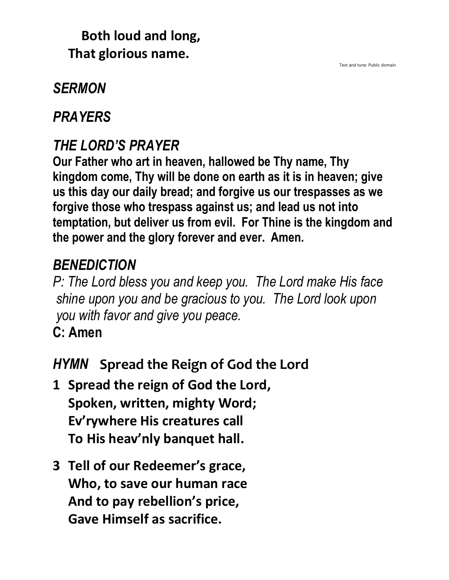## **Both loud and long, That glorious name.**

#### Text and tune: Public domain

# *SERMON*

## *PRAYERS*

# *THE LORD'S PRAYER*

**Our Father who art in heaven, hallowed be Thy name, Thy kingdom come, Thy will be done on earth as it is in heaven; give us this day our daily bread; and forgive us our trespasses as we forgive those who trespass against us; and lead us not into temptation, but deliver us from evil. For Thine is the kingdom and the power and the glory forever and ever. Amen.**

## *BENEDICTION*

*P: The Lord bless you and keep you. The Lord make His face shine upon you and be gracious to you. The Lord look upon you with favor and give you peace.*

**C: Amen**

## *HYMN* **Spread the Reign of God the Lord**

- **1 Spread the reign of God the Lord, Spoken, written, mighty Word; Ev'rywhere His creatures call To His heav'nly banquet hall.**
- **3 Tell of our Redeemer's grace, Who, to save our human race And to pay rebellion's price, Gave Himself as sacrifice.**